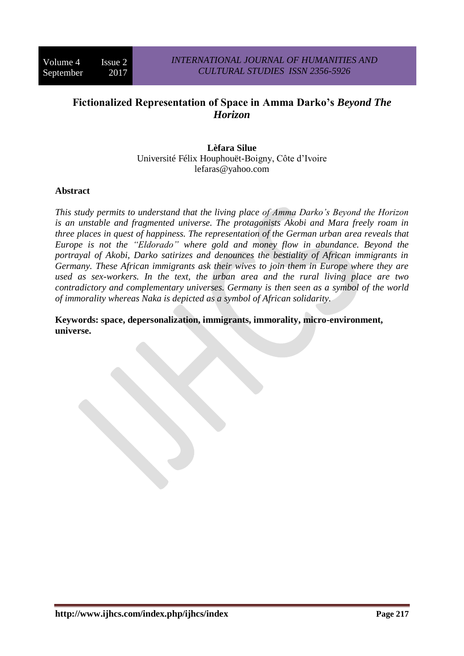# **Fictionalized Representation of Space in Amma Darko's** *Beyond The Horizon*

**Lèfara Silue** Université Félix Houphouët-Boigny, Côte d'Ivoire [lefaras@yahoo.com](mailto:lefaras@yahoo.com)

### **Abstract**

*This study permits to understand that the living place of Amma Darko's Beyond the Horizon is an unstable and fragmented universe. The protagonists Akobi and Mara freely roam in three places in quest of happiness. The representation of the German urban area reveals that Europe is not the "Eldorado" where gold and money flow in abundance. Beyond the portrayal of Akobi, Darko satirizes and denounces the bestiality of African immigrants in Germany. These African immigrants ask their wives to join them in Europe where they are used as sex-workers. In the text, the urban area and the rural living place are two contradictory and complementary universes. Germany is then seen as a symbol of the world of immorality whereas Naka is depicted as a symbol of African solidarity.*

**Keywords: space, depersonalization, immigrants, immorality, micro-environment, universe.**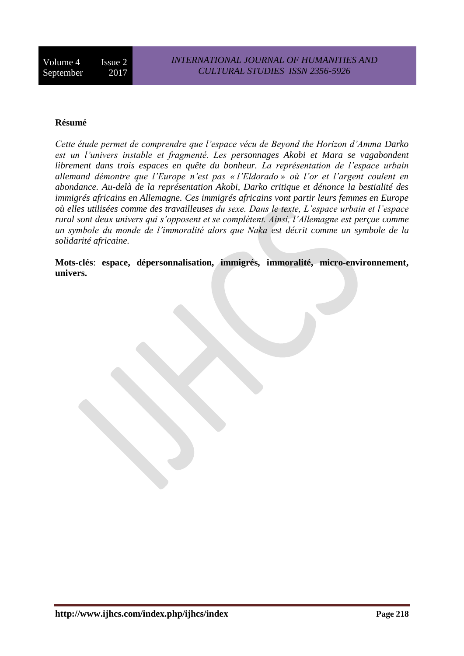# **Résumé**

*Cette étude permet de comprendre que l'espace vécu de Beyond the Horizon d'Amma Darko est un l'univers instable et fragmenté. Les personnages Akobi et Mara se vagabondent librement dans trois espaces en quête du bonheur. La représentation de l'espace urbain allemand démontre que l'Europe n'est pas « l'Eldorado » où l'or et l'argent coulent en abondance. Au-delà de la représentation Akobi, Darko critique et dénonce la bestialité des immigrés africains en Allemagne. Ces immigrés africains vont partir leurs femmes en Europe où elles utilisées comme des travailleuses du sexe. Dans le texte, L'espace urbain et l'espace rural sont deux univers qui s'opposent et se complètent. Ainsi, l'Allemagne est perçue comme un symbole du monde de l'immoralité alors que Naka est décrit comme un symbole de la solidarité africaine.*

**Mots-clés**: **espace, dépersonnalisation, immigrés, immoralité, micro-environnement, univers.**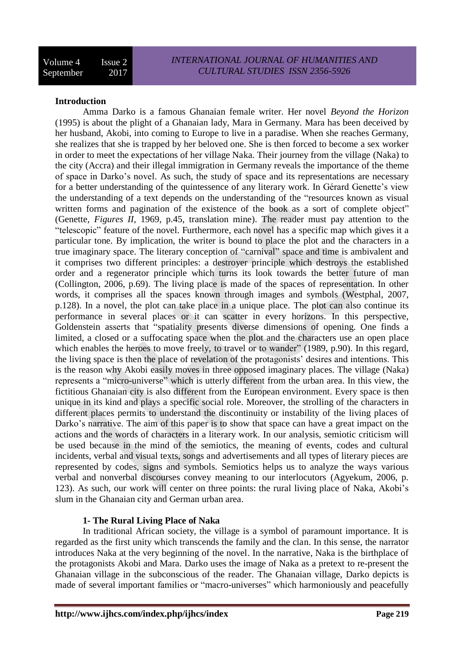#### **Introduction**

Amma Darko is a famous Ghanaian female writer. Her novel *Beyond the Horizon* (1995) is about the plight of a Ghanaian lady, Mara in Germany. Mara has been deceived by her husband, Akobi, into coming to Europe to live in a paradise. When she reaches Germany, she realizes that she is trapped by her beloved one. She is then forced to become a sex worker in order to meet the expectations of her village Naka. Their journey from the village (Naka) to the city (Accra) and their illegal immigration in Germany reveals the importance of the theme of space in Darko's novel. As such, the study of space and its representations are necessary for a better understanding of the quintessence of any literary work. In Gérard Genette's view the understanding of a text depends on the understanding of the "resources known as visual written forms and pagination of the existence of the book as a sort of complete object" (Genette, *Figures II*, 1969, p.45, translation mine). The reader must pay attention to the "telescopic" feature of the novel. Furthermore, each novel has a specific map which gives it a particular tone. By implication, the writer is bound to place the plot and the characters in a true imaginary space. The literary conception of "carnival" space and time is ambivalent and it comprises two different principles: a destroyer principle which destroys the established order and a regenerator principle which turns its look towards the better future of man (Collington, 2006, p.69). The living place is made of the spaces of representation. In other words, it comprises all the spaces known through images and symbols (Westphal, 2007, p.128). In a novel, the plot can take place in a unique place. The plot can also continue its performance in several places or it can scatter in every horizons. In this perspective, Goldenstein asserts that "spatiality presents diverse dimensions of opening. One finds a limited, a closed or a suffocating space when the plot and the characters use an open place which enables the heroes to move freely, to travel or to wander" (1989, p.90). In this regard, the living space is then the place of revelation of the protagonists' desires and intentions. This is the reason why Akobi easily moves in three opposed imaginary places. The village (Naka) represents a "micro-universe" which is utterly different from the urban area. In this view, the fictitious Ghanaian city is also different from the European environment. Every space is then unique in its kind and plays a specific social role. Moreover, the strolling of the characters in different places permits to understand the discontinuity or instability of the living places of Darko's narrative. The aim of this paper is to show that space can have a great impact on the actions and the words of characters in a literary work. In our analysis, semiotic criticism will be used because in the mind of the semiotics, the meaning of events, codes and cultural incidents, verbal and visual texts, songs and advertisements and all types of literary pieces are represented by codes, signs and symbols. Semiotics helps us to analyze the ways various verbal and nonverbal discourses convey meaning to our interlocutors (Agyekum, 2006, p. 123). As such, our work will center on three points: the rural living place of Naka, Akobi's slum in the Ghanaian city and German urban area.

# **1- The Rural Living Place of Naka**

In traditional African society, the village is a symbol of paramount importance. It is regarded as the first unity which transcends the family and the clan. In this sense, the narrator introduces Naka at the very beginning of the novel. In the narrative, Naka is the birthplace of the protagonists Akobi and Mara. Darko uses the image of Naka as a pretext to re-present the Ghanaian village in the subconscious of the reader. The Ghanaian village, Darko depicts is made of several important families or "macro-universes" which harmoniously and peacefully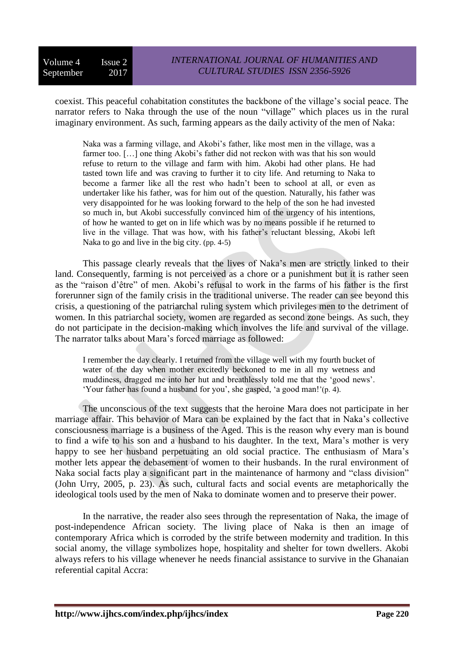coexist. This peaceful cohabitation constitutes the backbone of the village's social peace. The narrator refers to Naka through the use of the noun "village" which places us in the rural imaginary environment. As such, farming appears as the daily activity of the men of Naka:

Naka was a farming village, and Akobi's father, like most men in the village, was a farmer too. [...] one thing Akobi's father did not reckon with was that his son would refuse to return to the village and farm with him. Akobi had other plans. He had tasted town life and was craving to further it to city life. And returning to Naka to become a farmer like all the rest who hadn't been to school at all, or even as undertaker like his father, was for him out of the question. Naturally, his father was very disappointed for he was looking forward to the help of the son he had invested so much in, but Akobi successfully convinced him of the urgency of his intentions, of how he wanted to get on in life which was by no means possible if he returned to live in the village. That was how, with his father's reluctant blessing, Akobi left Naka to go and live in the big city. (pp. 4-5)

This passage clearly reveals that the lives of Naka's men are strictly linked to their land. Consequently, farming is not perceived as a chore or a punishment but it is rather seen as the "raison d'être" of men. Akobi's refusal to work in the farms of his father is the first forerunner sign of the family crisis in the traditional universe. The reader can see beyond this crisis, a questioning of the patriarchal ruling system which privileges men to the detriment of women. In this patriarchal society, women are regarded as second zone beings. As such, they do not participate in the decision-making which involves the life and survival of the village. The narrator talks about Mara's forced marriage as followed:

I remember the day clearly. I returned from the village well with my fourth bucket of water of the day when mother excitedly beckoned to me in all my wetness and muddiness, dragged me into her hut and breathlessly told me that the 'good news'. 'Your father has found a husband for you', she gasped, 'a good man!'(p. 4).

The unconscious of the text suggests that the heroine Mara does not participate in her marriage affair. This behavior of Mara can be explained by the fact that in Naka's collective consciousness marriage is a business of the Aged. This is the reason why every man is bound to find a wife to his son and a husband to his daughter. In the text, Mara's mother is very happy to see her husband perpetuating an old social practice. The enthusiasm of Mara's mother lets appear the debasement of women to their husbands. In the rural environment of Naka social facts play a significant part in the maintenance of harmony and "class division" (John Urry, 2005, p. 23). As such, cultural facts and social events are metaphorically the ideological tools used by the men of Naka to dominate women and to preserve their power.

In the narrative, the reader also sees through the representation of Naka, the image of post-independence African society. The living place of Naka is then an image of contemporary Africa which is corroded by the strife between modernity and tradition. In this social anomy, the village symbolizes hope, hospitality and shelter for town dwellers. Akobi always refers to his village whenever he needs financial assistance to survive in the Ghanaian referential capital Accra: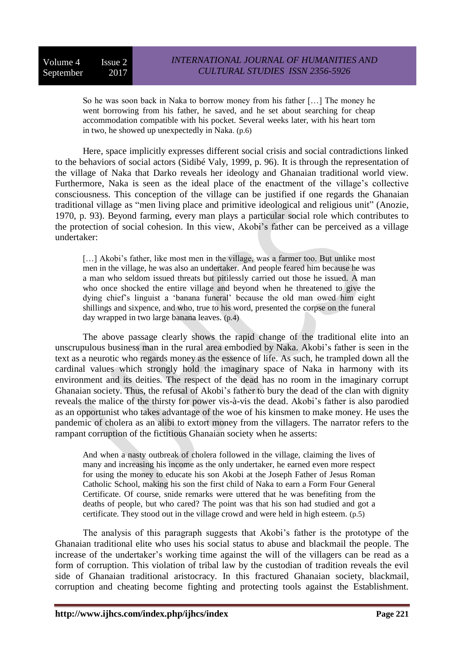So he was soon back in Naka to borrow money from his father […] The money he went borrowing from his father, he saved, and he set about searching for cheap accommodation compatible with his pocket. Several weeks later, with his heart torn in two, he showed up unexpectedly in Naka. (p.6)

Here, space implicitly expresses different social crisis and social contradictions linked to the behaviors of social actors (Sidibé Valy, 1999, p. 96). It is through the representation of the village of Naka that Darko reveals her ideology and Ghanaian traditional world view. Furthermore, Naka is seen as the ideal place of the enactment of the village's collective consciousness. This conception of the village can be justified if one regards the Ghanaian traditional village as "men living place and primitive ideological and religious unit" (Anozie, 1970, p. 93). Beyond farming, every man plays a particular social role which contributes to the protection of social cohesion. In this view, Akobi's father can be perceived as a village undertaker:

[...] Akobi's father, like most men in the village, was a farmer too. But unlike most men in the village, he was also an undertaker. And people feared him because he was a man who seldom issued threats but pitilessly carried out those he issued. A man who once shocked the entire village and beyond when he threatened to give the dying chief's linguist a 'banana funeral' because the old man owed him eight shillings and sixpence, and who, true to his word, presented the corpse on the funeral day wrapped in two large banana leaves. (p.4)

The above passage clearly shows the rapid change of the traditional elite into an unscrupulous business man in the rural area embodied by Naka. Akobi's father is seen in the text as a neurotic who regards money as the essence of life. As such, he trampled down all the cardinal values which strongly hold the imaginary space of Naka in harmony with its environment and its deities. The respect of the dead has no room in the imaginary corrupt Ghanaian society. Thus, the refusal of Akobi's father to bury the dead of the clan with dignity reveals the malice of the thirsty for power vis-à-vis the dead. Akobi's father is also parodied as an opportunist who takes advantage of the woe of his kinsmen to make money. He uses the pandemic of cholera as an alibi to extort money from the villagers. The narrator refers to the rampant corruption of the fictitious Ghanaian society when he asserts:

And when a nasty outbreak of cholera followed in the village, claiming the lives of many and increasing his income as the only undertaker, he earned even more respect for using the money to educate his son Akobi at the Joseph Father of Jesus Roman Catholic School, making his son the first child of Naka to earn a Form Four General Certificate. Of course, snide remarks were uttered that he was benefiting from the deaths of people, but who cared? The point was that his son had studied and got a certificate. They stood out in the village crowd and were held in high esteem. (p.5)

The analysis of this paragraph suggests that Akobi's father is the prototype of the Ghanaian traditional elite who uses his social status to abuse and blackmail the people. The increase of the undertaker's working time against the will of the villagers can be read as a form of corruption. This violation of tribal law by the custodian of tradition reveals the evil side of Ghanaian traditional aristocracy. In this fractured Ghanaian society, blackmail, corruption and cheating become fighting and protecting tools against the Establishment.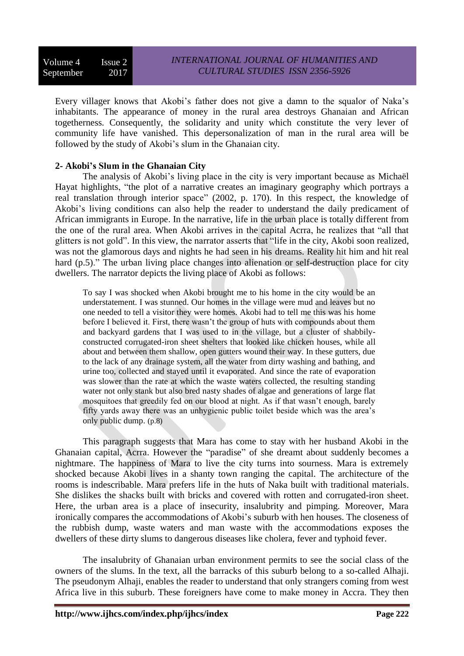Every villager knows that Akobi's father does not give a damn to the squalor of Naka's inhabitants. The appearance of money in the rural area destroys Ghanaian and African togetherness. Consequently, the solidarity and unity which constitute the very lever of community life have vanished. This depersonalization of man in the rural area will be followed by the study of Akobi's slum in the Ghanaian city.

# **2- Akobi's Slum in the Ghanaian City**

The analysis of Akobi's living place in the city is very important because as Michaël Hayat highlights, "the plot of a narrative creates an imaginary geography which portrays a real translation through interior space" (2002, p. 170). In this respect, the knowledge of Akobi's living conditions can also help the reader to understand the daily predicament of African immigrants in Europe. In the narrative, life in the urban place is totally different from the one of the rural area. When Akobi arrives in the capital Acrra, he realizes that "all that glitters is not gold". In this view, the narrator asserts that "life in the city, Akobi soon realized, was not the glamorous days and nights he had seen in his dreams. Reality hit him and hit real hard (p.5)." The urban living place changes into alienation or self-destruction place for city dwellers. The narrator depicts the living place of Akobi as follows:

To say I was shocked when Akobi brought me to his home in the city would be an understatement. I was stunned. Our homes in the village were mud and leaves but no one needed to tell a visitor they were homes. Akobi had to tell me this was his home before I believed it. First, there wasn't the group of huts with compounds about them and backyard gardens that I was used to in the village, but a cluster of shabbilyconstructed corrugated-iron sheet shelters that looked like chicken houses, while all about and between them shallow, open gutters wound their way. In these gutters, due to the lack of any drainage system, all the water from dirty washing and bathing, and urine too, collected and stayed until it evaporated. And since the rate of evaporation was slower than the rate at which the waste waters collected, the resulting standing water not only stank but also bred nasty shades of algae and generations of large flat mosquitoes that greedily fed on our blood at night. As if that wasn't enough, barely fifty yards away there was an unhygienic public toilet beside which was the area's only public dump. (p.8)

This paragraph suggests that Mara has come to stay with her husband Akobi in the Ghanaian capital, Acrra. However the "paradise" of she dreamt about suddenly becomes a nightmare. The happiness of Mara to live the city turns into sourness. Mara is extremely shocked because Akobi lives in a shanty town ranging the capital. The architecture of the rooms is indescribable. Mara prefers life in the huts of Naka built with traditional materials. She dislikes the shacks built with bricks and covered with rotten and corrugated-iron sheet. Here, the urban area is a place of insecurity, insalubrity and pimping. Moreover, Mara ironically compares the accommodations of Akobi's suburb with hen houses. The closeness of the rubbish dump, waste waters and man waste with the accommodations exposes the dwellers of these dirty slums to dangerous diseases like cholera, fever and typhoid fever.

The insalubrity of Ghanaian urban environment permits to see the social class of the owners of the slums. In the text, all the barracks of this suburb belong to a so-called Alhaji. The pseudonym Alhaji, enables the reader to understand that only strangers coming from west Africa live in this suburb. These foreigners have come to make money in Accra. They then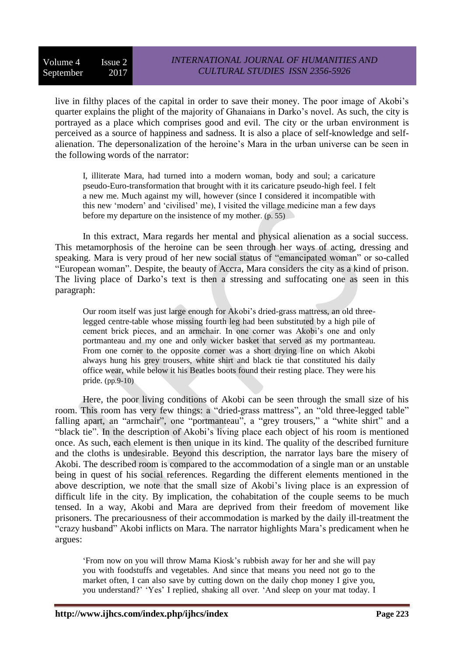live in filthy places of the capital in order to save their money. The poor image of Akobi's quarter explains the plight of the majority of Ghanaians in Darko's novel. As such, the city is portrayed as a place which comprises good and evil. The city or the urban environment is perceived as a source of happiness and sadness. It is also a place of self-knowledge and selfalienation. The depersonalization of the heroine's Mara in the urban universe can be seen in the following words of the narrator:

I, illiterate Mara, had turned into a modern woman, body and soul; a caricature pseudo-Euro-transformation that brought with it its caricature pseudo-high feel. I felt a new me. Much against my will, however (since I considered it incompatible with this new 'modern' and 'civilised' me), I visited the village medicine man a few days before my departure on the insistence of my mother. (p. 55)

In this extract, Mara regards her mental and physical alienation as a social success. This metamorphosis of the heroine can be seen through her ways of acting, dressing and speaking. Mara is very proud of her new social status of "emancipated woman" or so-called "European woman". Despite, the beauty of Accra, Mara considers the city as a kind of prison. The living place of Darko's text is then a stressing and suffocating one as seen in this paragraph:

Our room itself was just large enough for Akobi's dried-grass mattress, an old threelegged centre-table whose missing fourth leg had been substituted by a high pile of cement brick pieces, and an armchair. In one corner was Akobi's one and only portmanteau and my one and only wicker basket that served as my portmanteau. From one corner to the opposite corner was a short drying line on which Akobi always hung his grey trousers, white shirt and black tie that constituted his daily office wear, while below it his Beatles boots found their resting place. They were his pride. (pp.9-10)

Here, the poor living conditions of Akobi can be seen through the small size of his room. This room has very few things: a "dried-grass mattress", an "old three-legged table" falling apart, an "armchair", one "portmanteau", a "grey trousers," a "white shirt" and a "black tie". In the description of Akobi's living place each object of his room is mentioned once. As such, each element is then unique in its kind. The quality of the described furniture and the cloths is undesirable. Beyond this description, the narrator lays bare the misery of Akobi. The described room is compared to the accommodation of a single man or an unstable being in quest of his social references. Regarding the different elements mentioned in the above description, we note that the small size of Akobi's living place is an expression of difficult life in the city. By implication, the cohabitation of the couple seems to be much tensed. In a way, Akobi and Mara are deprived from their freedom of movement like prisoners. The precariousness of their accommodation is marked by the daily ill-treatment the "crazy husband" Akobi inflicts on Mara. The narrator highlights Mara's predicament when he argues:

'From now on you will throw Mama Kiosk's rubbish away for her and she will pay you with foodstuffs and vegetables. And since that means you need not go to the market often, I can also save by cutting down on the daily chop money I give you, you understand?' 'Yes' I replied, shaking all over. 'And sleep on your mat today. I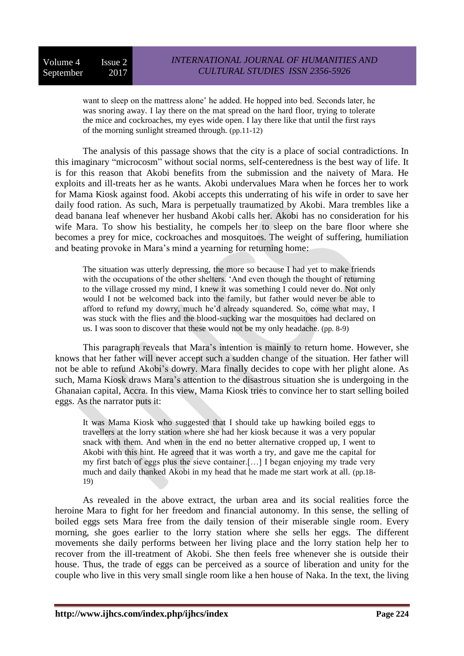want to sleep on the mattress alone' he added. He hopped into bed. Seconds later, he was snoring away. I lay there on the mat spread on the hard floor, trying to tolerate the mice and cockroaches, my eyes wide open. I lay there like that until the first rays of the morning sunlight streamed through. (pp.11-12)

The analysis of this passage shows that the city is a place of social contradictions. In this imaginary "microcosm" without social norms, self-centeredness is the best way of life. It is for this reason that Akobi benefits from the submission and the naivety of Mara. He exploits and ill-treats her as he wants. Akobi undervalues Mara when he forces her to work for Mama Kiosk against food. Akobi accepts this underrating of his wife in order to save her daily food ration. As such, Mara is perpetually traumatized by Akobi. Mara trembles like a dead banana leaf whenever her husband Akobi calls her. Akobi has no consideration for his wife Mara. To show his bestiality, he compels her to sleep on the bare floor where she becomes a prey for mice, cockroaches and mosquitoes. The weight of suffering, humiliation and beating provoke in Mara's mind a yearning for returning home:

The situation was utterly depressing, the more so because I had yet to make friends with the occupations of the other shelters. 'And even though the thought of returning to the village crossed my mind, I knew it was something I could never do. Not only would I not be welcomed back into the family, but father would never be able to afford to refund my dowry, much he'd already squandered. So, come what may, I was stuck with the flies and the blood-sucking war the mosquitoes had declared on us. I was soon to discover that these would not be my only headache. (pp. 8-9)

This paragraph reveals that Mara's intention is mainly to return home. However, she knows that her father will never accept such a sudden change of the situation. Her father will not be able to refund Akobi's dowry. Mara finally decides to cope with her plight alone. As such, Mama Kiosk draws Mara's attention to the disastrous situation she is undergoing in the Ghanaian capital, Accra. In this view, Mama Kiosk tries to convince her to start selling boiled eggs. As the narrator puts it:

It was Mama Kiosk who suggested that I should take up hawking boiled eggs to travellers at the lorry station where she had her kiosk because it was a very popular snack with them. And when in the end no better alternative cropped up, I went to Akobi with this hint. He agreed that it was worth a try, and gave me the capital for my first batch of eggs plus the sieve container.[…] I began enjoying my trade very much and daily thanked Akobi in my head that he made me start work at all. (pp.18- 19)

As revealed in the above extract, the urban area and its social realities force the heroine Mara to fight for her freedom and financial autonomy. In this sense, the selling of boiled eggs sets Mara free from the daily tension of their miserable single room. Every morning, she goes earlier to the lorry station where she sells her eggs. The different movements she daily performs between her living place and the lorry station help her to recover from the ill-treatment of Akobi. She then feels free whenever she is outside their house. Thus, the trade of eggs can be perceived as a source of liberation and unity for the couple who live in this very small single room like a hen house of Naka. In the text*,* the living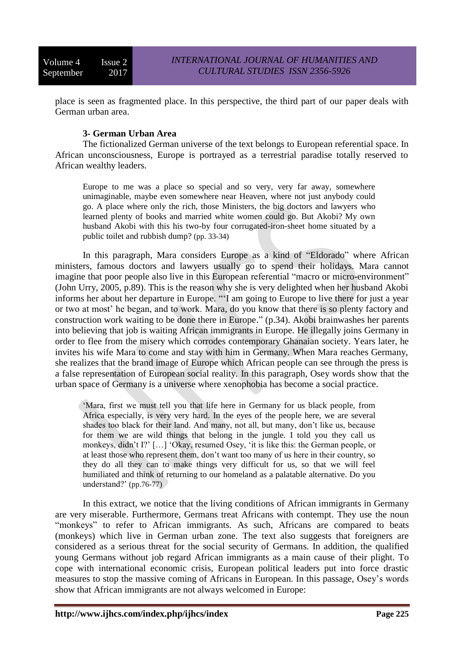place is seen as fragmented place. In this perspective, the third part of our paper deals with German urban area.

# **3- German Urban Area**

The fictionalized German universe of the text belongs to European referential space. In African unconsciousness, Europe is portrayed as a terrestrial paradise totally reserved to African wealthy leaders.

Europe to me was a place so special and so very, very far away, somewhere unimaginable, maybe even somewhere near Heaven, where not just anybody could go. A place where only the rich, those Ministers, the big doctors and lawyers who learned plenty of books and married white women could go. But Akobi? My own husband Akobi with this his two-by four corrugated-iron-sheet home situated by a public toilet and rubbish dump? (pp. 33-34)

In this paragraph, Mara considers Europe as a kind of "Eldorado" where African ministers, famous doctors and lawyers usually go to spend their holidays. Mara cannot imagine that poor people also live in this European referential "macro or micro-environment" (John Urry, 2005, p.89). This is the reason why she is very delighted when her husband Akobi informs her about her departure in Europe. "'I am going to Europe to live there for just a year or two at most' he began, and to work. Mara, do you know that there is so plenty factory and construction work waiting to be done there in Europe." (p.34). Akobi brainwashes her parents into believing that job is waiting African immigrants in Europe. He illegally joins Germany in order to flee from the misery which corrodes contemporary Ghanaian society. Years later, he invites his wife Mara to come and stay with him in Germany. When Mara reaches Germany, she realizes that the brand image of Europe which African people can see through the press is a false representation of European social reality. In this paragraph, Osey words show that the urban space of Germany is a universe where xenophobia has become a social practice.

'Mara, first we must tell you that life here in Germany for us black people, from Africa especially, is very very hard. In the eyes of the people here, we are several shades too black for their land. And many, not all, but many, don't like us, because for them we are wild things that belong in the jungle. I told you they call us monkeys, didn't I?' […] 'Okay, resumed Osey, 'it is like this: the German people, or at least those who represent them, don't want too many of us here in their country, so they do all they can to make things very difficult for us, so that we will feel humiliated and think of returning to our homeland as a palatable alternative. Do you understand?' (pp.76-77)

In this extract, we notice that the living conditions of African immigrants in Germany are very miserable. Furthermore, Germans treat Africans with contempt. They use the noun "monkeys" to refer to African immigrants. As such, Africans are compared to beats (monkeys) which live in German urban zone. The text also suggests that foreigners are considered as a serious threat for the social security of Germans. In addition, the qualified young Germans without job regard African immigrants as a main cause of their plight. To cope with international economic crisis, European political leaders put into force drastic measures to stop the massive coming of Africans in European. In this passage, Osey's words show that African immigrants are not always welcomed in Europe: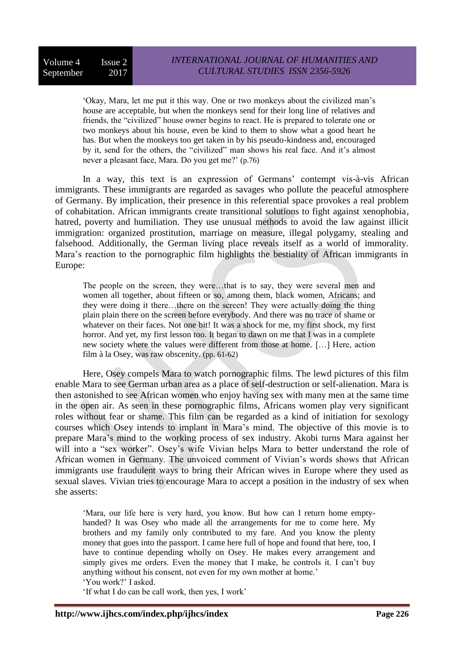'Okay, Mara, let me put it this way. One or two monkeys about the civilized man's house are acceptable, but when the monkeys send for their long line of relatives and friends, the "civilized" house owner begins to react. He is prepared to tolerate one or two monkeys about his house, even be kind to them to show what a good heart he has. But when the monkeys too get taken in by his pseudo-kindness and, encouraged by it, send for the others, the "civilized" man shows his real face. And it's almost never a pleasant face, Mara. Do you get me?' (p.76)

In a way, this text is an expression of Germans' contempt vis-à-vis African immigrants. These immigrants are regarded as savages who pollute the peaceful atmosphere of Germany. By implication, their presence in this referential space provokes a real problem of cohabitation. African immigrants create transitional solutions to fight against xenophobia, hatred, poverty and humiliation. They use unusual methods to avoid the law against illicit immigration: organized prostitution, marriage on measure, illegal polygamy, stealing and falsehood. Additionally, the German living place reveals itself as a world of immorality. Mara's reaction to the pornographic film highlights the bestiality of African immigrants in Europe:

The people on the screen, they were…that is to say, they were several men and women all together, about fifteen or so, among them, black women, Africans; and they were doing it there…there on the screen! They were actually doing the thing plain plain there on the screen before everybody. And there was no trace of shame or whatever on their faces. Not one bit! It was a shock for me, my first shock, my first horror. And yet, my first lesson too. It began to dawn on me that I was in a complete new society where the values were different from those at home. […] Here, action film à la Osey, was raw obscenity. (pp. 61-62)

Here, Osey compels Mara to watch pornographic films. The lewd pictures of this film enable Mara to see German urban area as a place of self-destruction or self-alienation. Mara is then astonished to see African women who enjoy having sex with many men at the same time in the open air. As seen in these pornographic films, Africans women play very significant roles without fear or shame. This film can be regarded as a kind of initiation for sexology courses which Osey intends to implant in Mara's mind. The objective of this movie is to prepare Mara's mind to the working process of sex industry. Akobi turns Mara against her will into a "sex worker". Osey's wife Vivian helps Mara to better understand the role of African women in Germany. The unvoiced comment of Vivian's words shows that African immigrants use fraudulent ways to bring their African wives in Europe where they used as sexual slaves. Vivian tries to encourage Mara to accept a position in the industry of sex when she asserts:

'Mara, our life here is very hard, you know. But how can I return home emptyhanded? It was Osey who made all the arrangements for me to come here. My brothers and my family only contributed to my fare. And you know the plenty money that goes into the passport. I came here full of hope and found that here, too, I have to continue depending wholly on Osey. He makes every arrangement and simply gives me orders. Even the money that I make, he controls it. I can't buy anything without his consent, not even for my own mother at home.' 'You work?' I asked.

'If what I do can be call work, then yes, I work'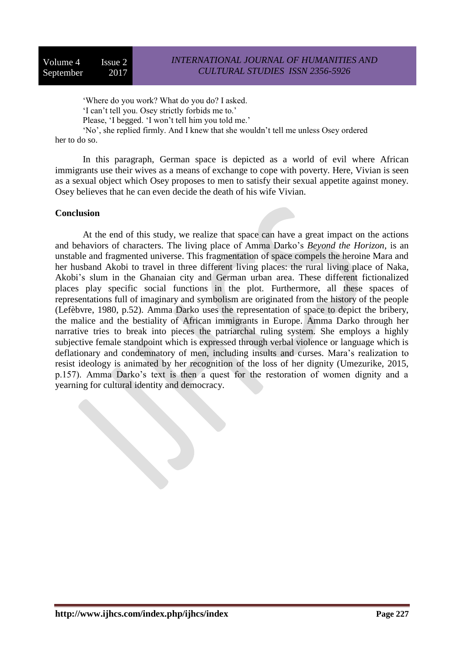'Where do you work? What do you do? I asked.

'I can't tell you. Osey strictly forbids me to.'

Please, 'I begged. 'I won't tell him you told me.'

'No', she replied firmly. And I knew that she wouldn't tell me unless Osey ordered her to do so.

In this paragraph, German space is depicted as a world of evil where African immigrants use their wives as a means of exchange to cope with poverty. Here, Vivian is seen as a sexual object which Osey proposes to men to satisfy their sexual appetite against money. Osey believes that he can even decide the death of his wife Vivian.

### **Conclusion**

At the end of this study, we realize that space can have a great impact on the actions and behaviors of characters. The living place of Amma Darko's *Beyond the Horizon*, is an unstable and fragmented universe. This fragmentation of space compels the heroine Mara and her husband Akobi to travel in three different living places: the rural living place of Naka, Akobi's slum in the Ghanaian city and German urban area. These different fictionalized places play specific social functions in the plot. Furthermore, all these spaces of representations full of imaginary and symbolism are originated from the history of the people (Lefèbvre, 1980, p.52). Amma Darko uses the representation of space to depict the bribery, the malice and the bestiality of African immigrants in Europe. Amma Darko through her narrative tries to break into pieces the patriarchal ruling system. She employs a highly subjective female standpoint which is expressed through verbal violence or language which is deflationary and condemnatory of men, including insults and curses. Mara's realization to resist ideology is animated by her recognition of the loss of her dignity (Umezurike, 2015, p.157). Amma Darko's text is then a quest for the restoration of women dignity and a yearning for cultural identity and democracy.